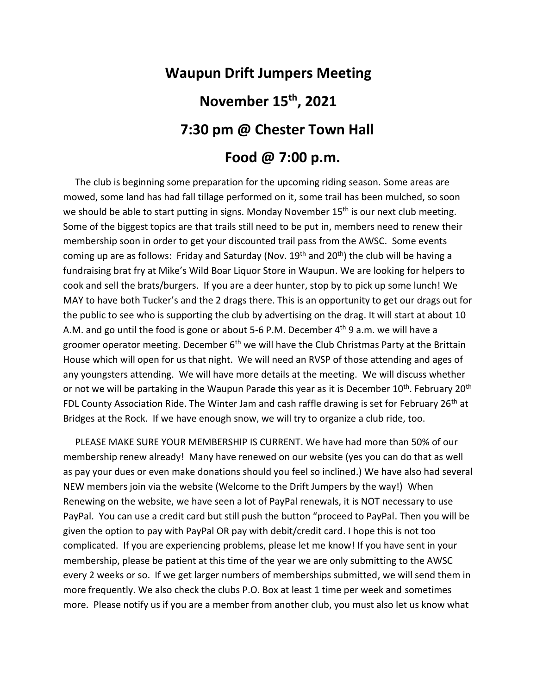## **Waupun Drift Jumpers Meeting November 15 th, 2021 7:30 pm @ Chester Town Hall Food @ 7:00 p.m.**

## The club is beginning some preparation for the upcoming riding season. Some areas are mowed, some land has had fall tillage performed on it, some trail has been mulched, so soon we should be able to start putting in signs. Monday November 15<sup>th</sup> is our next club meeting. Some of the biggest topics are that trails still need to be put in, members need to renew their membership soon in order to get your discounted trail pass from the AWSC. Some events coming up are as follows: Friday and Saturday (Nov. 19<sup>th</sup> and 20<sup>th</sup>) the club will be having a fundraising brat fry at Mike's Wild Boar Liquor Store in Waupun. We are looking for helpers to cook and sell the brats/burgers. If you are a deer hunter, stop by to pick up some lunch! We MAY to have both Tucker's and the 2 drags there. This is an opportunity to get our drags out for the public to see who is supporting the club by advertising on the drag. It will start at about 10 A.M. and go until the food is gone or about 5-6 P.M. December  $4<sup>th</sup>$  9 a.m. we will have a groomer operator meeting. December  $6<sup>th</sup>$  we will have the Club Christmas Party at the Brittain House which will open for us that night. We will need an RVSP of those attending and ages of any youngsters attending. We will have more details at the meeting. We will discuss whether or not we will be partaking in the Waupun Parade this year as it is December 10<sup>th</sup>. February 20<sup>th</sup> FDL County Association Ride. The Winter Jam and cash raffle drawing is set for February 26<sup>th</sup> at Bridges at the Rock. If we have enough snow, we will try to organize a club ride, too.

 PLEASE MAKE SURE YOUR MEMBERSHIP IS CURRENT. We have had more than 50% of our membership renew already! Many have renewed on our website (yes you can do that as well as pay your dues or even make donations should you feel so inclined.) We have also had several NEW members join via the website (Welcome to the Drift Jumpers by the way!) When Renewing on the website, we have seen a lot of PayPal renewals, it is NOT necessary to use PayPal. You can use a credit card but still push the button "proceed to PayPal. Then you will be given the option to pay with PayPal OR pay with debit/credit card. I hope this is not too complicated. If you are experiencing problems, please let me know! If you have sent in your membership, please be patient at this time of the year we are only submitting to the AWSC every 2 weeks or so. If we get larger numbers of memberships submitted, we will send them in more frequently. We also check the clubs P.O. Box at least 1 time per week and sometimes more. Please notify us if you are a member from another club, you must also let us know what